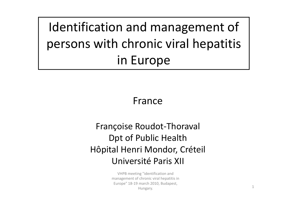Identification and management of persons with chronic viral hepatitis in Europe

### France

### Françoise Roudot ‐Thoraval Dpt of Public Health Hôpital Henri Mondor, Créteil Université Paris XII

VHPB meeting "identification and management of chronic viral hepatitis in Europe" 18‐19 march 2010, Budapest, Hungary. <sup>1</sup>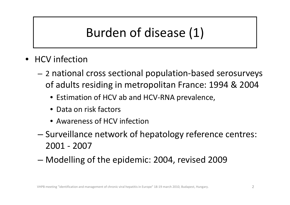# Burden of disease (1)

- •• HCV infection
	- – <sup>2</sup> national cross sectional population‐based serosurveys of adults residing in metropolitan France: 1994 & 2004
		- Estimation of HCV ab and HCV‐RNA prevalence,
		- Data on risk factors
		- Awareness of HCV infection
	- – Surveillance network of hepatology reference centres: 2001 ‐ 2007
	- –Modelling of the epidemic: 2004, revised 2009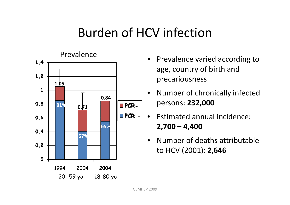## Burden of HCV infection



- •• Prevalence varied according to age, country of birth and precariousness
- • Number of chronically infected persons: **232,000**
- $\bullet$ **•** Estimated annual incidence: **2,700 – 4,400**
- $\bullet$ • Number of deaths attributable to HCV (2001): **2,646**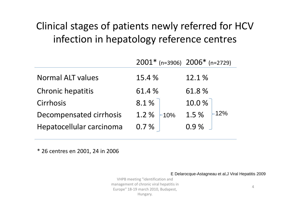### Clinical stages of patients newly referred for HCV infection in hepatology reference centres

|                          | $2001*$ (n=3906) $2006*$ (n=2729) |              |
|--------------------------|-----------------------------------|--------------|
| <b>Normal ALT values</b> | 15.4 %                            | 12.1%        |
| <b>Chronic hepatitis</b> | 61.4 %                            | 61.8%        |
| Cirrhosis                | 8.1%                              | 10.0%        |
| Decompensated cirrhosis  | 1.2 %<br>$-10%$                   | 1.5 %<br>12% |
| Hepatocellular carcinoma | 0.7%                              | $0.9\%$      |

\* 26 centres en 2001, 24 in 2006

E Delarocque-Astagneau et al,J Viral Hepatitis 2009

VHPB meeting "identification and management of chronic viral hepatitis in Europe" 18‐19 march 2010, Budapest, Hungary.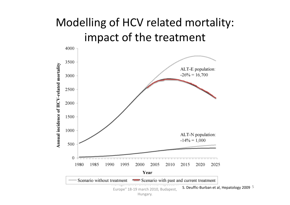### Modelling of HCV related mortality: impact of the treatment

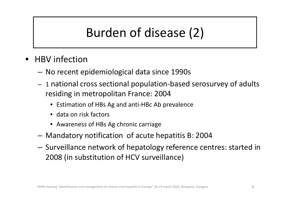# Burden of disease (2)

- •• HBV infection
	- No recent epidemiological data since 1990s
	- <sup>1</sup> national cross sectional population‐based serosurvey of adults residing in metropolitan France: 2004
		- Estimation of HBs Ag and anti‐HBc Ab prevalence
		- data on risk factors
		- Awareness of HBs Ag chronic carriage
	- Mandatory notification of acute hepatitis B: 2004
	- $-$  Surveillance network of hepatology reference centres: started in 2008 (in substitution of HCV surveillance)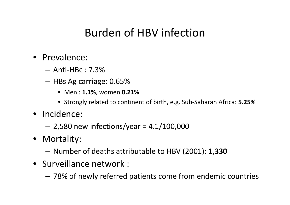### Burden of HBV infection

- Prevalence:
	- Anti‐HBc : 7.3%
	- $-$  HBs Ag carriage: 0.65%  $\,$ 
		- Men : **1.1%**, women **0.21%**
		- Strongly related to continent of birth, e.g. Sub‐Saharan Africa: **5.25%**
- Incidence:
	- –2,580 new infections/year <sup>=</sup> 4.1/100,000
- Mortality:
	- Number of deaths attributable to HBV (2001): **1,330**
- Surveillance network :
	- 78% of newly referred patients come from endemic countries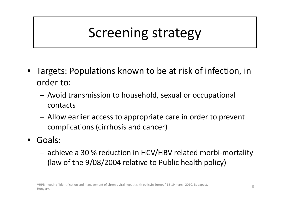# Screening strategy

- • Targets: Populations known to be at risk of infection, in order to:
	- Avoid transmission to household, sexual or occupational contacts
	- Allow earlier access to appropriate care in order to prevent complications (cirrhosis and cancer)
- • Goals:
	- achieve <sup>a</sup> 30 % reduction in HCV/HBV related morbi‐mortality (law of the 9/08/2004 relative to Public health policy)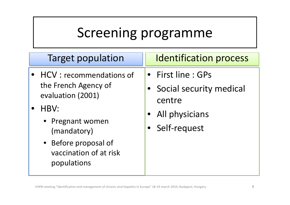- HCV : recommendations of the French Agency of evaluation (2001)
- • HBV:
	- Pregnant women (mandatory)
	- Before proposal of vaccination of at risk populations

### Target population Il Identification process

- First line : GPs
- Social security medical centre
- •All physicians
- Self‐request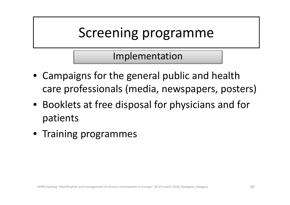Implementation

- Campaigns for the general public and health care professionals (media, newspapers, posters)
- Booklets at free disposal for physicians and for patients
- Training programmes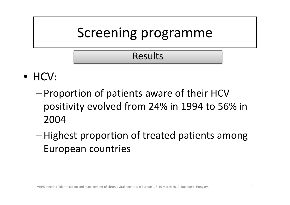### Results

- HCV:
	- – Proportion of patients aware of their HCV positivity evolved from 24% in 1994 to 56% in 2004
	- –Highest proportion of treated patients among European countries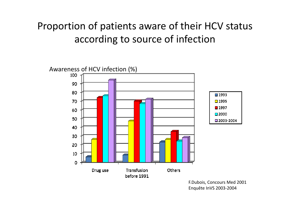### Proportion of patients aware of their HCV status according to source of infection



F.Dubois, Concours Med 2001 Enquête InVS 2003‐2004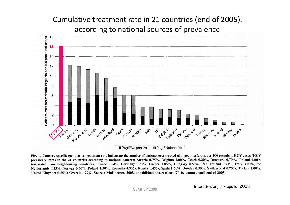### Cumulative treatment rate in 21 countries (end of 2005), according to national sources of prevalence



Fig. 4. Country-specific cumulative treatment rate indicating the number of patients ever treated with peginterferons per 100 prevalent HCV cases (HCV) prevalence rates in the 21 countries according to national sources: Austria 0.75%, Belgium 1.00%, Czech 0.20%, Denmark 0.70%, Finland 0.60% (estimated from neighbouring countries), France 0.84%, Germany 0.55%, Greece 1.05%, Hungary 0.80%, Rep. Ireland 0.71%, Italy 3.00%, the Netherlands 0.25%, Norway 0.60%, Poland 1.50%, Romania 4.50%, Russia 1.45%, Spain 1.50%, Sweden 0.50%, Switzerland 0.75%, Turkey 1.00%, United Kingdom 0.55%; Overall 1.29%. Source: Muhlberger, 2008, unpublished observations [2]) by country until end of 2005.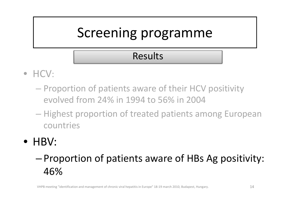### Results

- HCV:
	- Proportion of patients aware of their HCV positivity evolved from 24% in 1994 to 56% in 2004
	- Highest proportion of treated patients among European countries
- HBV:

### – Proportion of patients aware of HBs Ag positivity: 46%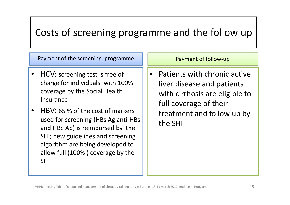### Costs of screening programme and the follow up

Payment of the screening programme Payment of follow-up

- • HCV: screening test is free of charge for individuals, with 100% coverage by the Social Health Insurance
- • HBV: 65 % of the cost of markers used for screening (HBs Ag anti‐HBs and HBc Ab) is reimbursed by the SHI; new guidelines and screening algorithm are being developed to allow full (100% ) coverage by the SHI

• Patients with chronic active liver disease and patients with cirrhosis are eligible to full coverage of their treatment and follow up by the SHI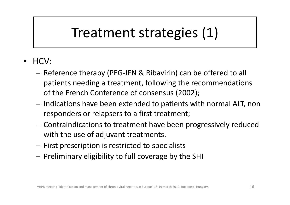# Treatment strategies (1)

- • HCV:
	- Reference therapy (PEG‐IFN & Ribavirin) can be offered to all patients needing <sup>a</sup> treatment, following the recommendations of the French Conference of consensus (2002);
	- $-$  Indications have been extended to patients with normal ALT, non responders or relapsers to <sup>a</sup> first treatment;
	- Contraindications to treatment have been progressively reduced with the use of adjuvant treatments.
	- $-$  First prescription is restricted to specialists
	- $-$  Preliminary eligibility to full coverage by the SHI  $\,$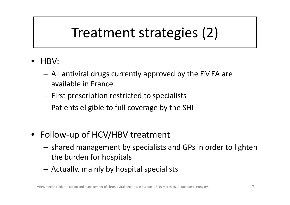# Treatment strategies (2)

- • HBV:
	- – All antiviral drugs currently approved by the EMEA are available in France.
	- $-$  First prescription restricted to specialists
	- $-$  Patients eligible to full coverage by the SHI  $\,$
- Follow‐up of HCV/HBV treatment
	- $-$  shared management by specialists and GPs in order to lighten the burden for hospitals
	- Actually, mainly by hospital specialists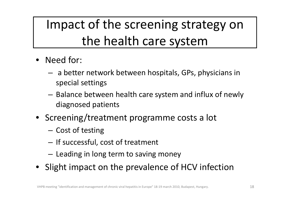# Impact of the screening strategy on the health care system

- Need for:
	- $-$  a better network between hospitals, GPs, physicians in special settings
	- – $-$  Balance between health care system and influx of newly diagnosed patients
- Screening/treatment programme costs <sup>a</sup> lot
	- Cost of testing
	- $-$  If successful, cost of treatment
	- $-$  Leading in long term to saving money
- Slight impact on the prevalence of HCV infection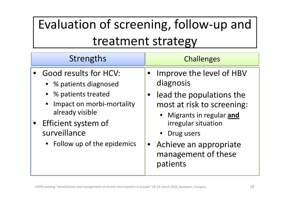# Evaluation of screening, follow‐up and treatment strategy

### Strengths **Challenges**

- • Good results for HCV:
	- % patients diagnosed
	- % patients treated
	- • Impact on morbi‐mortality already visible
- • Efficient system of surveillance
	- Follow up of the epidemics

- • Improve the level of HBV diagnosis
- • $\bullet$  lead the populations the most at risk to screening:
	- • Migrants in regular **and** irregular situation
	- •Drug users
- • Achieve an appropriate management of these patients